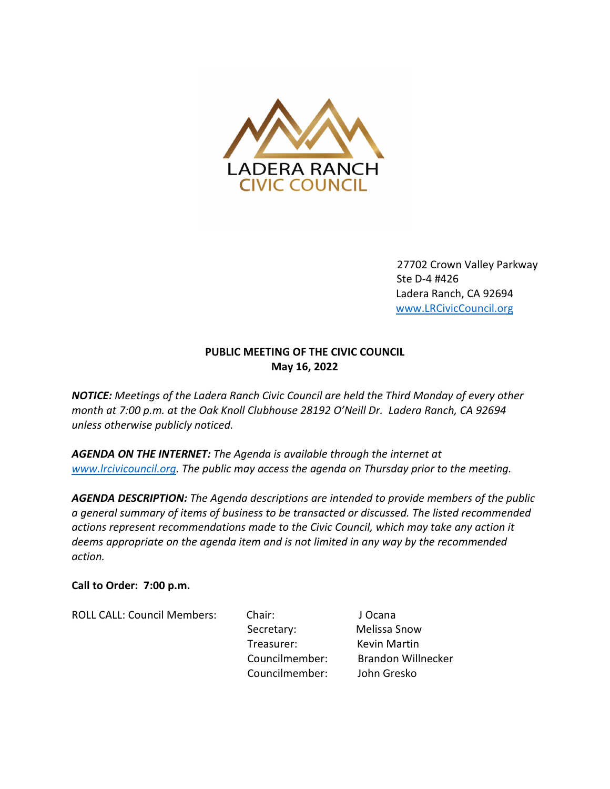

27702 Crown Valley Parkway Ste D-4 #426 Ladera Ranch, CA 92694 www.LRCivicCouncil.org

# PUBLIC MEETING OF THE CIVIC COUNCIL May 16, 2022

NOTICE: Meetings of the Ladera Ranch Civic Council are held the Third Monday of every other month at 7:00 p.m. at the Oak Knoll Clubhouse 28192 O'Neill Dr. Ladera Ranch, CA 92694 unless otherwise publicly noticed.

AGENDA ON THE INTERNET: The Agenda is available through the internet at www.lrcivicouncil.org. The public may access the agenda on Thursday prior to the meeting.

AGENDA DESCRIPTION: The Agenda descriptions are intended to provide members of the public a general summary of items of business to be transacted or discussed. The listed recommended actions represent recommendations made to the Civic Council, which may take any action it deems appropriate on the agenda item and is not limited in any way by the recommended action.

## Call to Order: 7:00 p.m.

ROLL CALL: Council Members: Chair: J Ocana

Secretary: Melissa Snow Treasurer: Kevin Martin Councilmember: Brandon Willnecker Councilmember: John Gresko